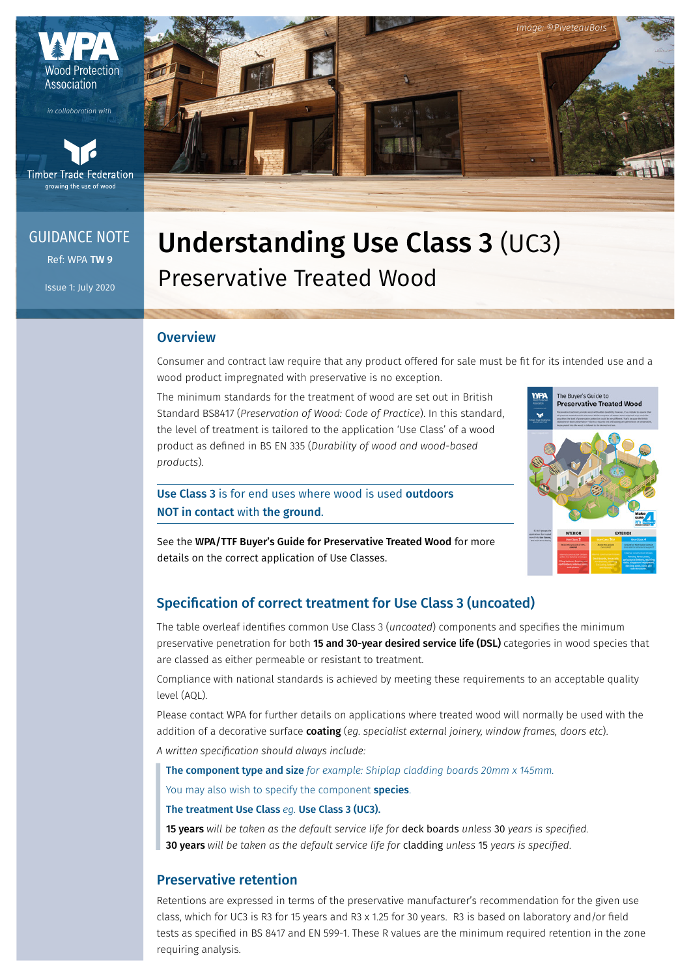

*in collaboration with*



### Ref: WPA TW 9 GUIDANCE NOTE

Issue 1: July 2020



# Understanding Use Class 3 (UC3) Preservative Treated Wood

#### **Overview**

Consumer and contract law require that any product offered for sale must be fit for its intended use and a wood product impregnated with preservative is no exception.

The minimum standards for the treatment of wood are set out in British Standard BS8417 (*Preservation of Wood: Code of Practice*). In this standard, the level of treatment is tailored to the application 'Use Class' of a wood product as defined in BS EN 335 (*Durability of wood and wood-based products*).

Use Class 3 is for end uses where wood is used outdoors NOT in contact with the ground.



*Image: ©PiveteauBois*

See the WPA/TTF Buyer's Guide for Preservative Treated Wood for more details on the correct application of Use Classes.

#### Specification of correct treatment for Use Class 3 (uncoated)

The table overleaf identifies common Use Class 3 (*uncoated*) components and specifies the minimum preservative penetration for both 15 and 30-year desired service life (DSL) categories in wood species that are classed as either permeable or resistant to treatment.

Compliance with national standards is achieved by meeting these requirements to an acceptable quality level (AQL).

Please contact WPA for further details on applications where treated wood will normally be used with the addition of a decorative surface coating (*eg. specialist external joinery, window frames, doors etc*). *A written specification should always include:*

The component type and size *for example: Shiplap cladding boards 20mm x 145mm.*

You may also wish to specify the component species.

#### The treatment Use Class *eg.* Use Class 3 (UC3).

15 years *will be taken as the default service life for* deck boards *unless* 30 *years is specified.*  30 years *will be taken as the default service life for* cladding *unless* 15 *years is specified*.

#### Preservative retention

Retentions are expressed in terms of the preservative manufacturer's recommendation for the given use class, which for UC3 is R3 for 15 years and R3 x 1.25 for 30 years. R3 is based on laboratory and/or field tests as specified in BS 8417 and EN 599-1. These R values are the minimum required retention in the zone requiring analysis.